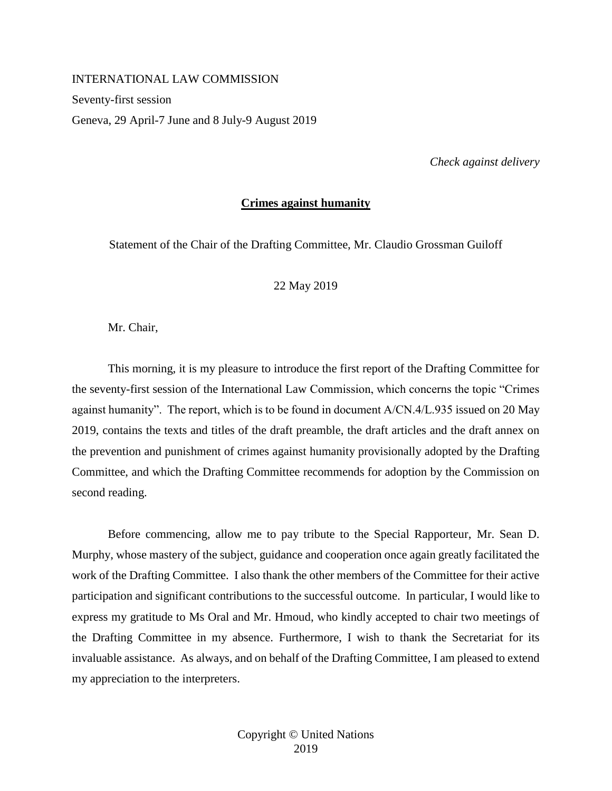## INTERNATIONAL LAW COMMISSION

Seventy-first session

Geneva, 29 April-7 June and 8 July-9 August 2019

*Check against delivery* 

### **Crimes against humanity**

Statement of the Chair of the Drafting Committee, Mr. Claudio Grossman Guiloff

# 22 May 2019

Mr. Chair,

This morning, it is my pleasure to introduce the first report of the Drafting Committee for the seventy-first session of the International Law Commission, which concerns the topic "Crimes against humanity". The report, which is to be found in document A/CN.4/L.935 issued on 20 May 2019, contains the texts and titles of the draft preamble, the draft articles and the draft annex on the prevention and punishment of crimes against humanity provisionally adopted by the Drafting Committee, and which the Drafting Committee recommends for adoption by the Commission on second reading.

Before commencing, allow me to pay tribute to the Special Rapporteur, Mr. Sean D. Murphy, whose mastery of the subject, guidance and cooperation once again greatly facilitated the work of the Drafting Committee. I also thank the other members of the Committee for their active participation and significant contributions to the successful outcome. In particular, I would like to express my gratitude to Ms Oral and Mr. Hmoud, who kindly accepted to chair two meetings of the Drafting Committee in my absence. Furthermore, I wish to thank the Secretariat for its invaluable assistance. As always, and on behalf of the Drafting Committee, I am pleased to extend my appreciation to the interpreters.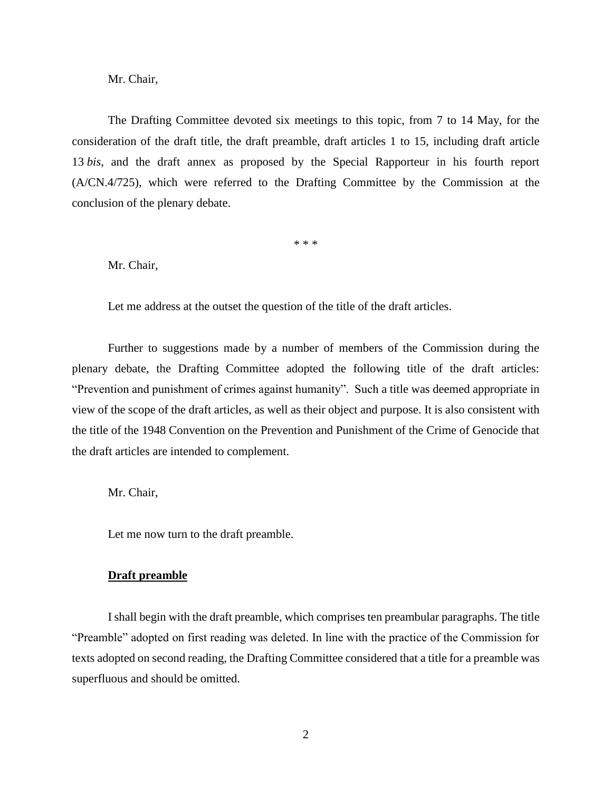The Drafting Committee devoted six meetings to this topic, from 7 to 14 May, for the consideration of the draft title, the draft preamble, draft articles 1 to 15, including draft article 13 *bis*, and the draft annex as proposed by the Special Rapporteur in his fourth report (A/CN.4/725), which were referred to the Drafting Committee by the Commission at the conclusion of the plenary debate.

\* \* \*

Mr. Chair,

Let me address at the outset the question of the title of the draft articles.

Further to suggestions made by a number of members of the Commission during the plenary debate, the Drafting Committee adopted the following title of the draft articles: "Prevention and punishment of crimes against humanity". Such a title was deemed appropriate in view of the scope of the draft articles, as well as their object and purpose. It is also consistent with the title of the 1948 Convention on the Prevention and Punishment of the Crime of Genocide that the draft articles are intended to complement.

Mr. Chair,

Let me now turn to the draft preamble.

## **Draft preamble**

I shall begin with the draft preamble, which comprises ten preambular paragraphs. The title "Preamble" adopted on first reading was deleted. In line with the practice of the Commission for texts adopted on second reading, the Drafting Committee considered that a title for a preamble was superfluous and should be omitted.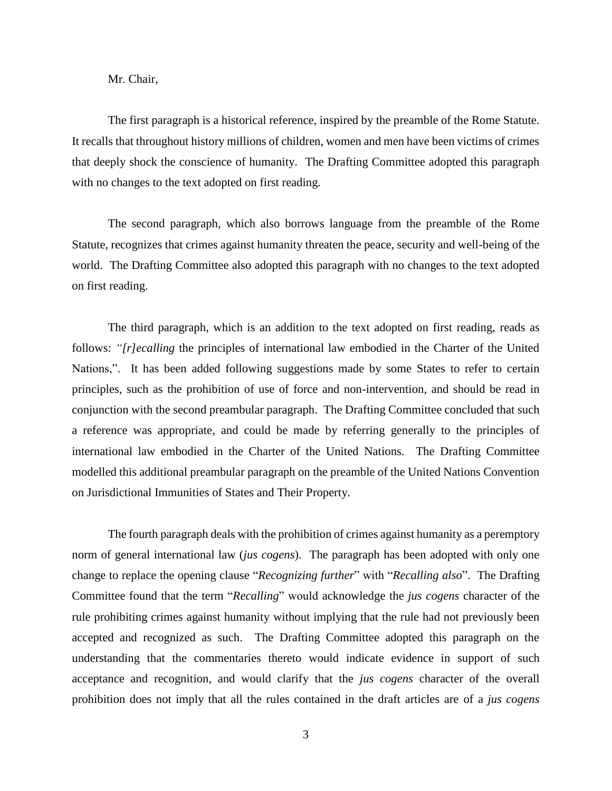The first paragraph is a historical reference, inspired by the preamble of the Rome Statute. It recalls that throughout history millions of children, women and men have been victims of crimes that deeply shock the conscience of humanity. The Drafting Committee adopted this paragraph with no changes to the text adopted on first reading.

The second paragraph, which also borrows language from the preamble of the Rome Statute, recognizes that crimes against humanity threaten the peace, security and well-being of the world. The Drafting Committee also adopted this paragraph with no changes to the text adopted on first reading.

The third paragraph, which is an addition to the text adopted on first reading, reads as follows: *"[r]ecalling* the principles of international law embodied in the Charter of the United Nations,". It has been added following suggestions made by some States to refer to certain principles, such as the prohibition of use of force and non-intervention, and should be read in conjunction with the second preambular paragraph. The Drafting Committee concluded that such a reference was appropriate, and could be made by referring generally to the principles of international law embodied in the Charter of the United Nations. The Drafting Committee modelled this additional preambular paragraph on the preamble of the United Nations Convention on Jurisdictional Immunities of States and Their Property.

The fourth paragraph deals with the prohibition of crimes against humanity as a peremptory norm of general international law (*jus cogens*). The paragraph has been adopted with only one change to replace the opening clause "*Recognizing further*" with "*Recalling also*". The Drafting Committee found that the term "*Recalling*" would acknowledge the *jus cogens* character of the rule prohibiting crimes against humanity without implying that the rule had not previously been accepted and recognized as such. The Drafting Committee adopted this paragraph on the understanding that the commentaries thereto would indicate evidence in support of such acceptance and recognition, and would clarify that the *jus cogens* character of the overall prohibition does not imply that all the rules contained in the draft articles are of a *jus cogens*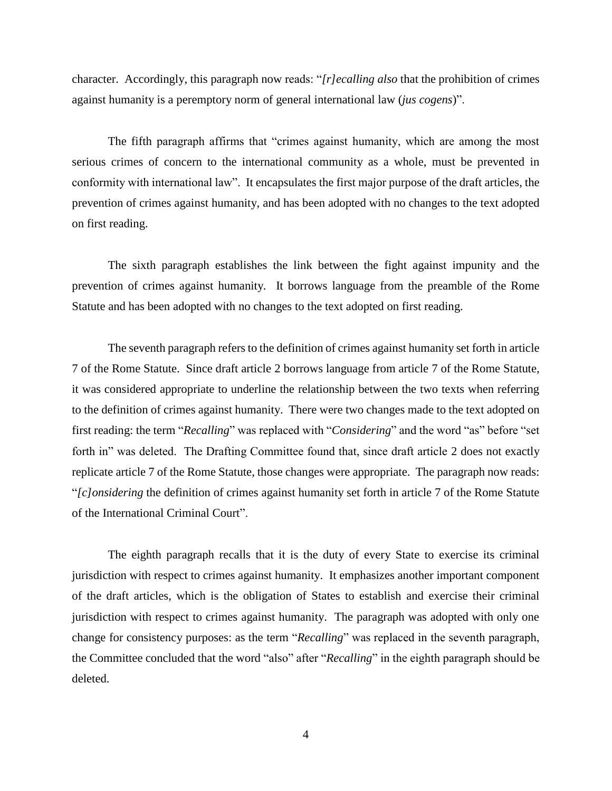character. Accordingly, this paragraph now reads: "*[r]ecalling also* that the prohibition of crimes against humanity is a peremptory norm of general international law (*jus cogens*)".

The fifth paragraph affirms that "crimes against humanity, which are among the most serious crimes of concern to the international community as a whole, must be prevented in conformity with international law". It encapsulates the first major purpose of the draft articles, the prevention of crimes against humanity, and has been adopted with no changes to the text adopted on first reading.

The sixth paragraph establishes the link between the fight against impunity and the prevention of crimes against humanity. It borrows language from the preamble of the Rome Statute and has been adopted with no changes to the text adopted on first reading.

The seventh paragraph refers to the definition of crimes against humanity set forth in article 7 of the Rome Statute. Since draft article 2 borrows language from article 7 of the Rome Statute, it was considered appropriate to underline the relationship between the two texts when referring to the definition of crimes against humanity. There were two changes made to the text adopted on first reading: the term "*Recalling*" was replaced with "*Considering*" and the word "as" before "set forth in" was deleted. The Drafting Committee found that, since draft article 2 does not exactly replicate article 7 of the Rome Statute, those changes were appropriate. The paragraph now reads: "*[c]onsidering* the definition of crimes against humanity set forth in article 7 of the Rome Statute of the International Criminal Court".

The eighth paragraph recalls that it is the duty of every State to exercise its criminal jurisdiction with respect to crimes against humanity. It emphasizes another important component of the draft articles, which is the obligation of States to establish and exercise their criminal jurisdiction with respect to crimes against humanity. The paragraph was adopted with only one change for consistency purposes: as the term "*Recalling*" was replaced in the seventh paragraph, the Committee concluded that the word "also" after "*Recalling*" in the eighth paragraph should be deleted.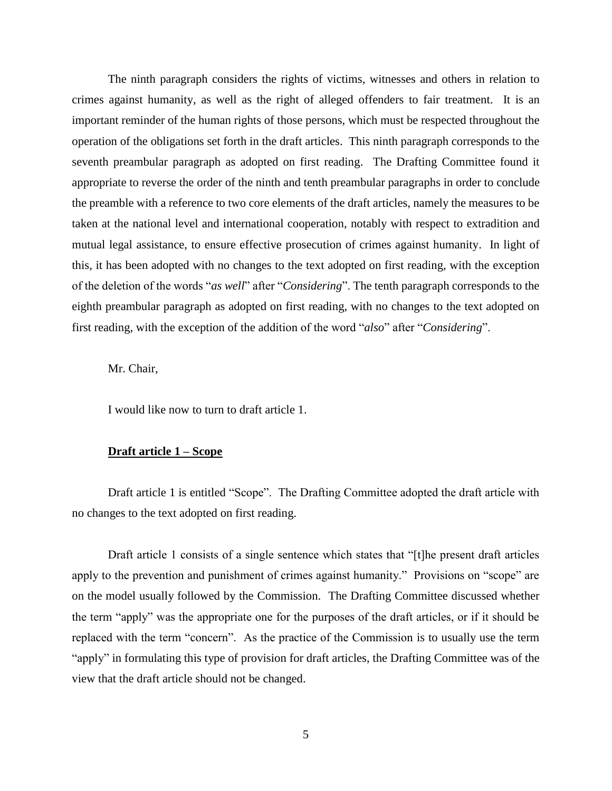The ninth paragraph considers the rights of victims, witnesses and others in relation to crimes against humanity, as well as the right of alleged offenders to fair treatment. It is an important reminder of the human rights of those persons, which must be respected throughout the operation of the obligations set forth in the draft articles. This ninth paragraph corresponds to the seventh preambular paragraph as adopted on first reading. The Drafting Committee found it appropriate to reverse the order of the ninth and tenth preambular paragraphs in order to conclude the preamble with a reference to two core elements of the draft articles, namely the measures to be taken at the national level and international cooperation, notably with respect to extradition and mutual legal assistance, to ensure effective prosecution of crimes against humanity. In light of this, it has been adopted with no changes to the text adopted on first reading, with the exception of the deletion of the words "*as well*" after "*Considering*". The tenth paragraph corresponds to the eighth preambular paragraph as adopted on first reading, with no changes to the text adopted on first reading, with the exception of the addition of the word "*also*" after "*Considering*".

Mr. Chair,

I would like now to turn to draft article 1.

#### **Draft article 1 – Scope**

Draft article 1 is entitled "Scope". The Drafting Committee adopted the draft article with no changes to the text adopted on first reading.

Draft article 1 consists of a single sentence which states that "[t]he present draft articles apply to the prevention and punishment of crimes against humanity." Provisions on "scope" are on the model usually followed by the Commission. The Drafting Committee discussed whether the term "apply" was the appropriate one for the purposes of the draft articles, or if it should be replaced with the term "concern". As the practice of the Commission is to usually use the term "apply" in formulating this type of provision for draft articles, the Drafting Committee was of the view that the draft article should not be changed.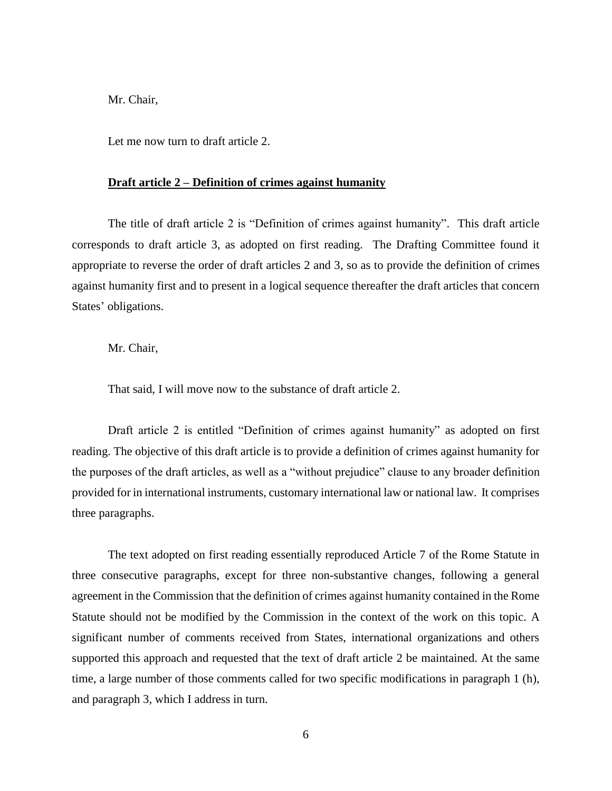Let me now turn to draft article 2.

#### **Draft article 2 – Definition of crimes against humanity**

The title of draft article 2 is "Definition of crimes against humanity". This draft article corresponds to draft article 3, as adopted on first reading. The Drafting Committee found it appropriate to reverse the order of draft articles 2 and 3, so as to provide the definition of crimes against humanity first and to present in a logical sequence thereafter the draft articles that concern States' obligations.

Mr. Chair,

That said, I will move now to the substance of draft article 2.

Draft article 2 is entitled "Definition of crimes against humanity" as adopted on first reading. The objective of this draft article is to provide a definition of crimes against humanity for the purposes of the draft articles, as well as a "without prejudice" clause to any broader definition provided for in international instruments, customary international law or national law. It comprises three paragraphs.

The text adopted on first reading essentially reproduced Article 7 of the Rome Statute in three consecutive paragraphs, except for three non-substantive changes, following a general agreement in the Commission that the definition of crimes against humanity contained in the Rome Statute should not be modified by the Commission in the context of the work on this topic. A significant number of comments received from States, international organizations and others supported this approach and requested that the text of draft article 2 be maintained. At the same time, a large number of those comments called for two specific modifications in paragraph 1 (h), and paragraph 3, which I address in turn.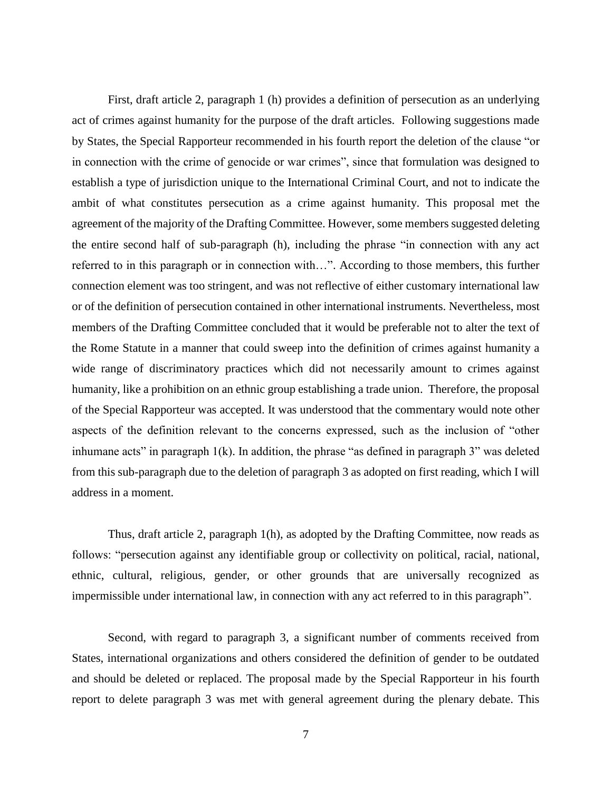First, draft article 2, paragraph 1 (h) provides a definition of persecution as an underlying act of crimes against humanity for the purpose of the draft articles. Following suggestions made by States, the Special Rapporteur recommended in his fourth report the deletion of the clause "or in connection with the crime of genocide or war crimes", since that formulation was designed to establish a type of jurisdiction unique to the International Criminal Court, and not to indicate the ambit of what constitutes persecution as a crime against humanity. This proposal met the agreement of the majority of the Drafting Committee. However, some members suggested deleting the entire second half of sub-paragraph (h), including the phrase "in connection with any act referred to in this paragraph or in connection with…". According to those members, this further connection element was too stringent, and was not reflective of either customary international law or of the definition of persecution contained in other international instruments. Nevertheless, most members of the Drafting Committee concluded that it would be preferable not to alter the text of the Rome Statute in a manner that could sweep into the definition of crimes against humanity a wide range of discriminatory practices which did not necessarily amount to crimes against humanity, like a prohibition on an ethnic group establishing a trade union. Therefore, the proposal of the Special Rapporteur was accepted. It was understood that the commentary would note other aspects of the definition relevant to the concerns expressed, such as the inclusion of "other inhumane acts" in paragraph  $1(k)$ . In addition, the phrase "as defined in paragraph 3" was deleted from this sub-paragraph due to the deletion of paragraph 3 as adopted on first reading, which I will address in a moment.

Thus, draft article 2, paragraph 1(h), as adopted by the Drafting Committee, now reads as follows: "persecution against any identifiable group or collectivity on political, racial, national, ethnic, cultural, religious, gender, or other grounds that are universally recognized as impermissible under international law, in connection with any act referred to in this paragraph".

Second, with regard to paragraph 3, a significant number of comments received from States, international organizations and others considered the definition of gender to be outdated and should be deleted or replaced. The proposal made by the Special Rapporteur in his fourth report to delete paragraph 3 was met with general agreement during the plenary debate. This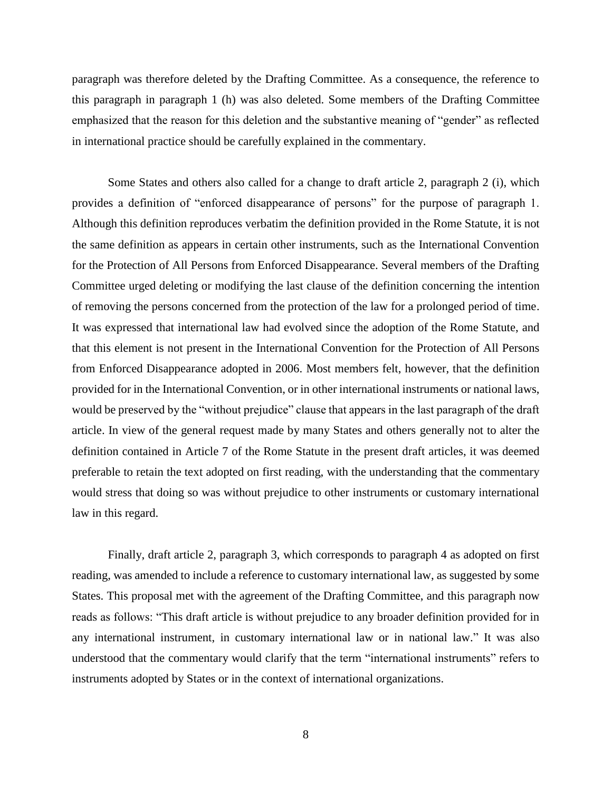paragraph was therefore deleted by the Drafting Committee. As a consequence, the reference to this paragraph in paragraph 1 (h) was also deleted. Some members of the Drafting Committee emphasized that the reason for this deletion and the substantive meaning of "gender" as reflected in international practice should be carefully explained in the commentary.

Some States and others also called for a change to draft article 2, paragraph 2 (i), which provides a definition of "enforced disappearance of persons" for the purpose of paragraph 1. Although this definition reproduces verbatim the definition provided in the Rome Statute, it is not the same definition as appears in certain other instruments, such as the International Convention for the Protection of All Persons from Enforced Disappearance. Several members of the Drafting Committee urged deleting or modifying the last clause of the definition concerning the intention of removing the persons concerned from the protection of the law for a prolonged period of time. It was expressed that international law had evolved since the adoption of the Rome Statute, and that this element is not present in the International Convention for the Protection of All Persons from Enforced Disappearance adopted in 2006. Most members felt, however, that the definition provided for in the International Convention, or in other international instruments or national laws, would be preserved by the "without prejudice" clause that appears in the last paragraph of the draft article. In view of the general request made by many States and others generally not to alter the definition contained in Article 7 of the Rome Statute in the present draft articles, it was deemed preferable to retain the text adopted on first reading, with the understanding that the commentary would stress that doing so was without prejudice to other instruments or customary international law in this regard.

Finally, draft article 2, paragraph 3, which corresponds to paragraph 4 as adopted on first reading, was amended to include a reference to customary international law, as suggested by some States. This proposal met with the agreement of the Drafting Committee, and this paragraph now reads as follows: "This draft article is without prejudice to any broader definition provided for in any international instrument, in customary international law or in national law." It was also understood that the commentary would clarify that the term "international instruments" refers to instruments adopted by States or in the context of international organizations.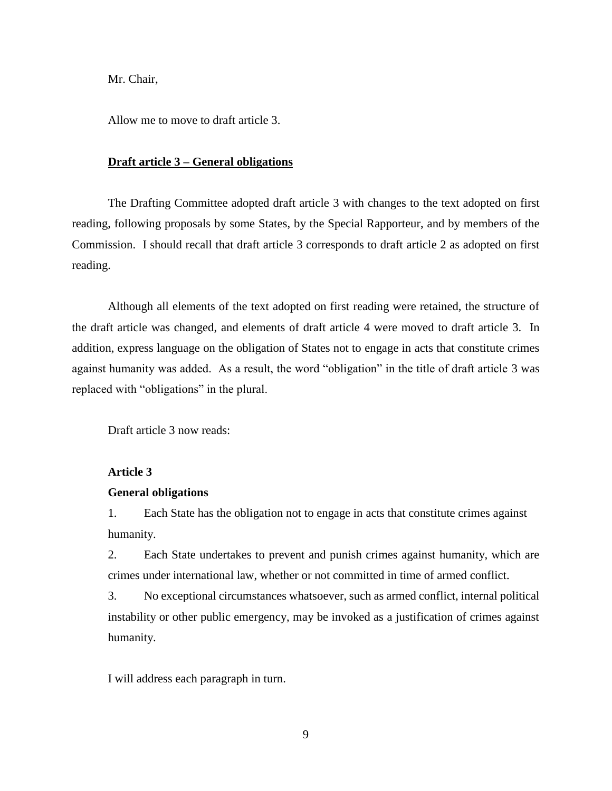Allow me to move to draft article 3.

#### **Draft article 3 – General obligations**

The Drafting Committee adopted draft article 3 with changes to the text adopted on first reading, following proposals by some States, by the Special Rapporteur, and by members of the Commission. I should recall that draft article 3 corresponds to draft article 2 as adopted on first reading.

Although all elements of the text adopted on first reading were retained, the structure of the draft article was changed, and elements of draft article 4 were moved to draft article 3. In addition, express language on the obligation of States not to engage in acts that constitute crimes against humanity was added. As a result, the word "obligation" in the title of draft article 3 was replaced with "obligations" in the plural.

Draft article 3 now reads:

## **Article 3**

### **General obligations**

1. Each State has the obligation not to engage in acts that constitute crimes against humanity.

2. Each State undertakes to prevent and punish crimes against humanity, which are crimes under international law, whether or not committed in time of armed conflict.

3. No exceptional circumstances whatsoever, such as armed conflict, internal political instability or other public emergency, may be invoked as a justification of crimes against humanity.

I will address each paragraph in turn.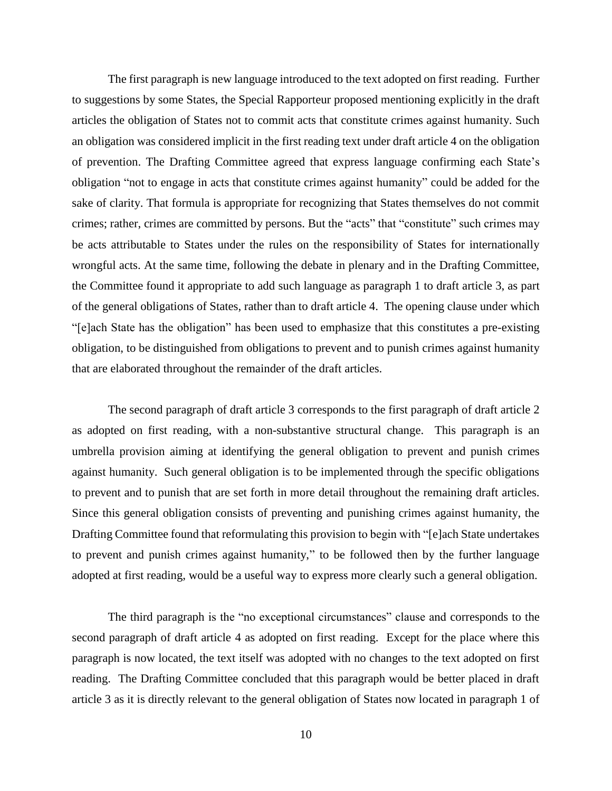The first paragraph is new language introduced to the text adopted on first reading. Further to suggestions by some States, the Special Rapporteur proposed mentioning explicitly in the draft articles the obligation of States not to commit acts that constitute crimes against humanity. Such an obligation was considered implicit in the first reading text under draft article 4 on the obligation of prevention. The Drafting Committee agreed that express language confirming each State's obligation "not to engage in acts that constitute crimes against humanity" could be added for the sake of clarity. That formula is appropriate for recognizing that States themselves do not commit crimes; rather, crimes are committed by persons. But the "acts" that "constitute" such crimes may be acts attributable to States under the rules on the responsibility of States for internationally wrongful acts. At the same time, following the debate in plenary and in the Drafting Committee, the Committee found it appropriate to add such language as paragraph 1 to draft article 3, as part of the general obligations of States, rather than to draft article 4. The opening clause under which "[e]ach State has the obligation" has been used to emphasize that this constitutes a pre-existing obligation, to be distinguished from obligations to prevent and to punish crimes against humanity that are elaborated throughout the remainder of the draft articles.

The second paragraph of draft article 3 corresponds to the first paragraph of draft article 2 as adopted on first reading, with a non-substantive structural change. This paragraph is an umbrella provision aiming at identifying the general obligation to prevent and punish crimes against humanity. Such general obligation is to be implemented through the specific obligations to prevent and to punish that are set forth in more detail throughout the remaining draft articles. Since this general obligation consists of preventing and punishing crimes against humanity, the Drafting Committee found that reformulating this provision to begin with "[e]ach State undertakes to prevent and punish crimes against humanity," to be followed then by the further language adopted at first reading, would be a useful way to express more clearly such a general obligation.

The third paragraph is the "no exceptional circumstances" clause and corresponds to the second paragraph of draft article 4 as adopted on first reading. Except for the place where this paragraph is now located, the text itself was adopted with no changes to the text adopted on first reading. The Drafting Committee concluded that this paragraph would be better placed in draft article 3 as it is directly relevant to the general obligation of States now located in paragraph 1 of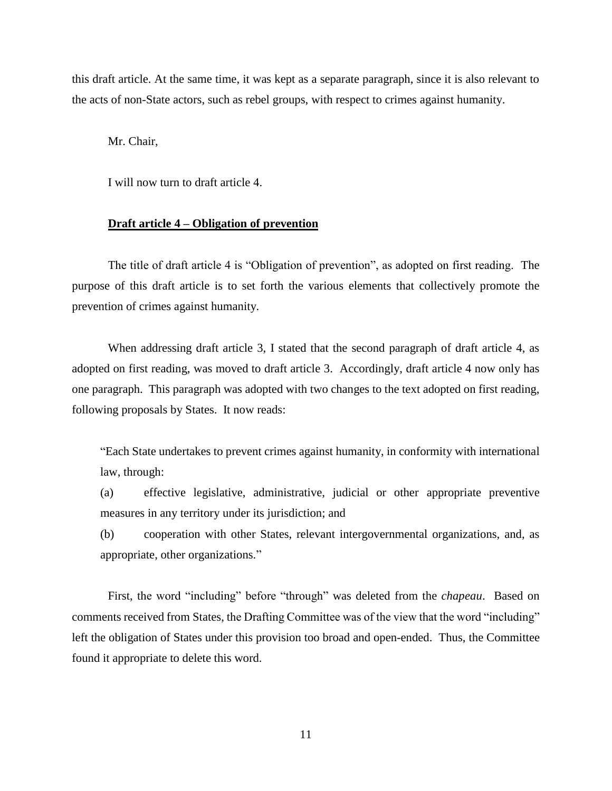this draft article. At the same time, it was kept as a separate paragraph, since it is also relevant to the acts of non-State actors, such as rebel groups, with respect to crimes against humanity.

Mr. Chair,

I will now turn to draft article 4.

#### **Draft article 4 – Obligation of prevention**

The title of draft article 4 is "Obligation of prevention", as adopted on first reading. The purpose of this draft article is to set forth the various elements that collectively promote the prevention of crimes against humanity.

When addressing draft article 3, I stated that the second paragraph of draft article 4, as adopted on first reading, was moved to draft article 3. Accordingly, draft article 4 now only has one paragraph. This paragraph was adopted with two changes to the text adopted on first reading, following proposals by States. It now reads:

"Each State undertakes to prevent crimes against humanity, in conformity with international law, through:

(a) effective legislative, administrative, judicial or other appropriate preventive measures in any territory under its jurisdiction; and

(b) cooperation with other States, relevant intergovernmental organizations, and, as appropriate, other organizations."

First, the word "including" before "through" was deleted from the *chapeau*. Based on comments received from States, the Drafting Committee was of the view that the word "including" left the obligation of States under this provision too broad and open-ended. Thus, the Committee found it appropriate to delete this word.

11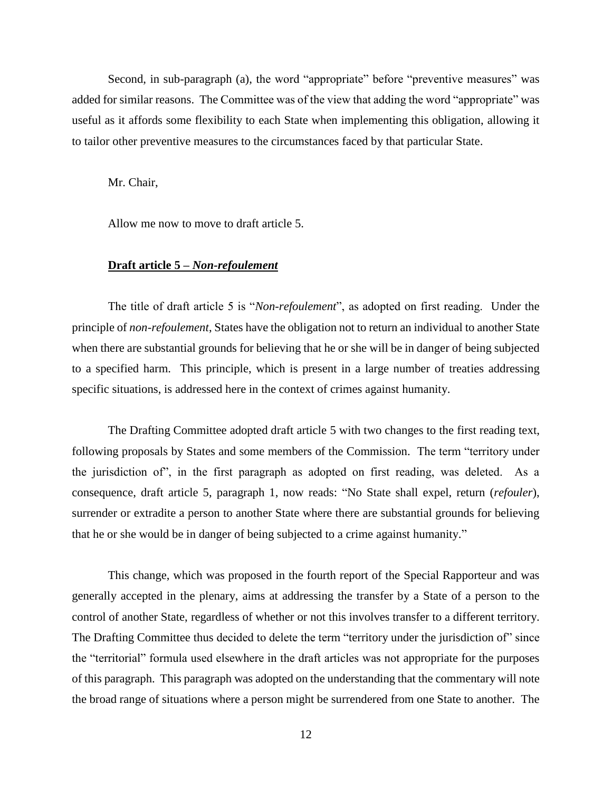Second, in sub-paragraph (a), the word "appropriate" before "preventive measures" was added for similar reasons. The Committee was of the view that adding the word "appropriate" was useful as it affords some flexibility to each State when implementing this obligation, allowing it to tailor other preventive measures to the circumstances faced by that particular State.

Mr. Chair,

Allow me now to move to draft article 5.

#### **Draft article 5 –** *Non-refoulement*

The title of draft article 5 is "*Non-refoulement*", as adopted on first reading. Under the principle of *non-refoulement*, States have the obligation not to return an individual to another State when there are substantial grounds for believing that he or she will be in danger of being subjected to a specified harm. This principle, which is present in a large number of treaties addressing specific situations, is addressed here in the context of crimes against humanity.

The Drafting Committee adopted draft article 5 with two changes to the first reading text, following proposals by States and some members of the Commission. The term "territory under the jurisdiction of", in the first paragraph as adopted on first reading, was deleted. As a consequence, draft article 5, paragraph 1, now reads: "No State shall expel, return (*refouler*), surrender or extradite a person to another State where there are substantial grounds for believing that he or she would be in danger of being subjected to a crime against humanity."

This change, which was proposed in the fourth report of the Special Rapporteur and was generally accepted in the plenary, aims at addressing the transfer by a State of a person to the control of another State, regardless of whether or not this involves transfer to a different territory. The Drafting Committee thus decided to delete the term "territory under the jurisdiction of" since the "territorial" formula used elsewhere in the draft articles was not appropriate for the purposes of this paragraph. This paragraph was adopted on the understanding that the commentary will note the broad range of situations where a person might be surrendered from one State to another. The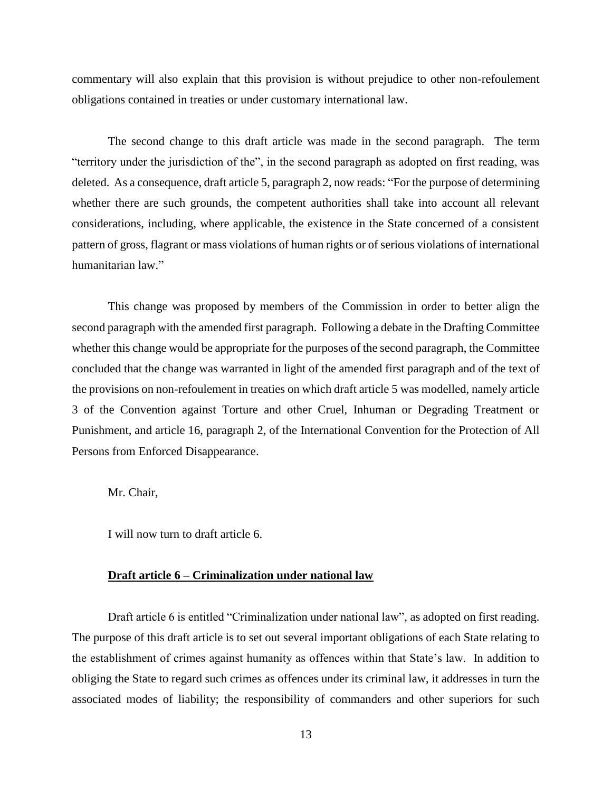commentary will also explain that this provision is without prejudice to other non-refoulement obligations contained in treaties or under customary international law.

The second change to this draft article was made in the second paragraph. The term "territory under the jurisdiction of the", in the second paragraph as adopted on first reading, was deleted. As a consequence, draft article 5, paragraph 2, now reads: "For the purpose of determining whether there are such grounds, the competent authorities shall take into account all relevant considerations, including, where applicable, the existence in the State concerned of a consistent pattern of gross, flagrant or mass violations of human rights or of serious violations of international humanitarian law."

This change was proposed by members of the Commission in order to better align the second paragraph with the amended first paragraph. Following a debate in the Drafting Committee whether this change would be appropriate for the purposes of the second paragraph, the Committee concluded that the change was warranted in light of the amended first paragraph and of the text of the provisions on non-refoulement in treaties on which draft article 5 was modelled, namely article 3 of the Convention against Torture and other Cruel, Inhuman or Degrading Treatment or Punishment, and article 16, paragraph 2, of the International Convention for the Protection of All Persons from Enforced Disappearance.

Mr. Chair,

I will now turn to draft article 6.

#### **Draft article 6 – Criminalization under national law**

Draft article 6 is entitled "Criminalization under national law", as adopted on first reading. The purpose of this draft article is to set out several important obligations of each State relating to the establishment of crimes against humanity as offences within that State's law. In addition to obliging the State to regard such crimes as offences under its criminal law, it addresses in turn the associated modes of liability; the responsibility of commanders and other superiors for such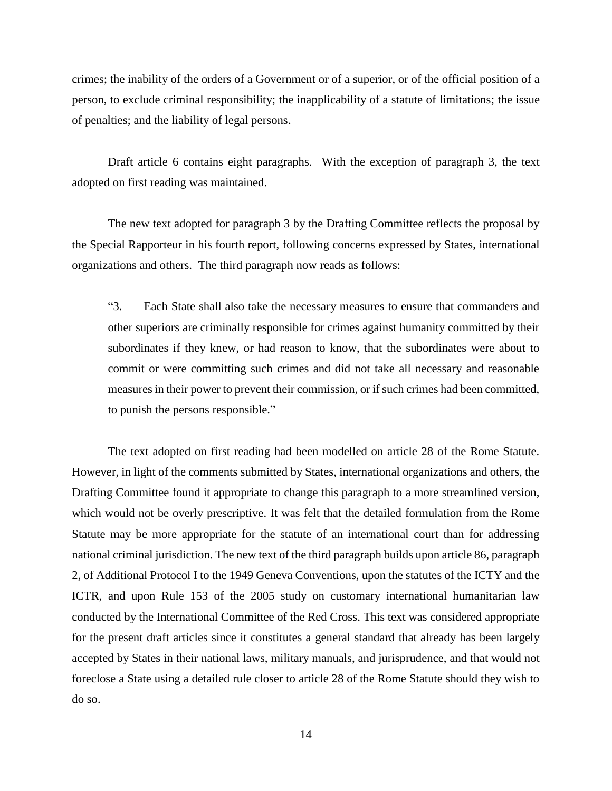crimes; the inability of the orders of a Government or of a superior, or of the official position of a person, to exclude criminal responsibility; the inapplicability of a statute of limitations; the issue of penalties; and the liability of legal persons.

Draft article 6 contains eight paragraphs. With the exception of paragraph 3, the text adopted on first reading was maintained.

The new text adopted for paragraph 3 by the Drafting Committee reflects the proposal by the Special Rapporteur in his fourth report, following concerns expressed by States, international organizations and others. The third paragraph now reads as follows:

"3. Each State shall also take the necessary measures to ensure that commanders and other superiors are criminally responsible for crimes against humanity committed by their subordinates if they knew, or had reason to know, that the subordinates were about to commit or were committing such crimes and did not take all necessary and reasonable measures in their power to prevent their commission, or if such crimes had been committed, to punish the persons responsible."

The text adopted on first reading had been modelled on article 28 of the Rome Statute. However, in light of the comments submitted by States, international organizations and others, the Drafting Committee found it appropriate to change this paragraph to a more streamlined version, which would not be overly prescriptive. It was felt that the detailed formulation from the Rome Statute may be more appropriate for the statute of an international court than for addressing national criminal jurisdiction. The new text of the third paragraph builds upon article 86, paragraph 2, of Additional Protocol I to the 1949 Geneva Conventions, upon the statutes of the ICTY and the ICTR, and upon Rule 153 of the 2005 study on customary international humanitarian law conducted by the International Committee of the Red Cross. This text was considered appropriate for the present draft articles since it constitutes a general standard that already has been largely accepted by States in their national laws, military manuals, and jurisprudence, and that would not foreclose a State using a detailed rule closer to article 28 of the Rome Statute should they wish to do so.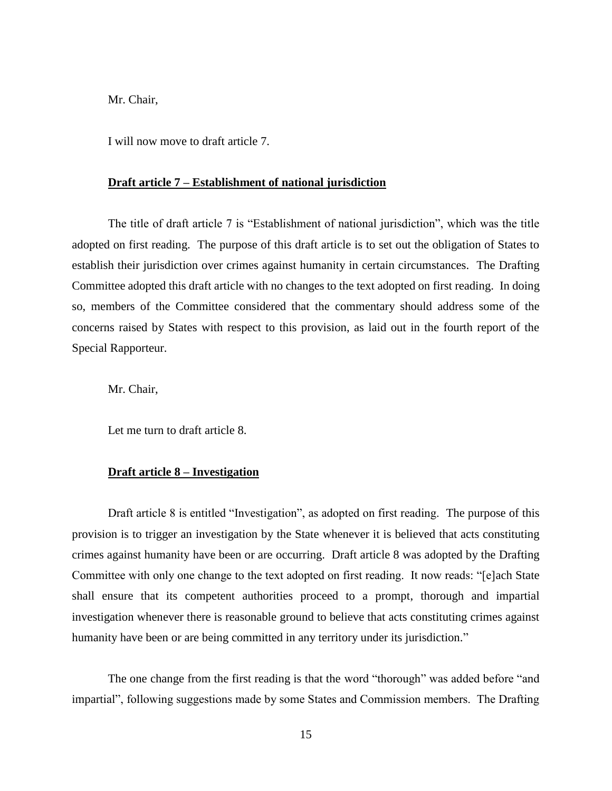I will now move to draft article 7.

#### **Draft article 7 – Establishment of national jurisdiction**

The title of draft article 7 is "Establishment of national jurisdiction", which was the title adopted on first reading. The purpose of this draft article is to set out the obligation of States to establish their jurisdiction over crimes against humanity in certain circumstances. The Drafting Committee adopted this draft article with no changes to the text adopted on first reading. In doing so, members of the Committee considered that the commentary should address some of the concerns raised by States with respect to this provision, as laid out in the fourth report of the Special Rapporteur.

Mr. Chair,

Let me turn to draft article 8.

### **Draft article 8 – Investigation**

Draft article 8 is entitled "Investigation", as adopted on first reading. The purpose of this provision is to trigger an investigation by the State whenever it is believed that acts constituting crimes against humanity have been or are occurring. Draft article 8 was adopted by the Drafting Committee with only one change to the text adopted on first reading. It now reads: "[e]ach State shall ensure that its competent authorities proceed to a prompt, thorough and impartial investigation whenever there is reasonable ground to believe that acts constituting crimes against humanity have been or are being committed in any territory under its jurisdiction."

The one change from the first reading is that the word "thorough" was added before "and impartial", following suggestions made by some States and Commission members. The Drafting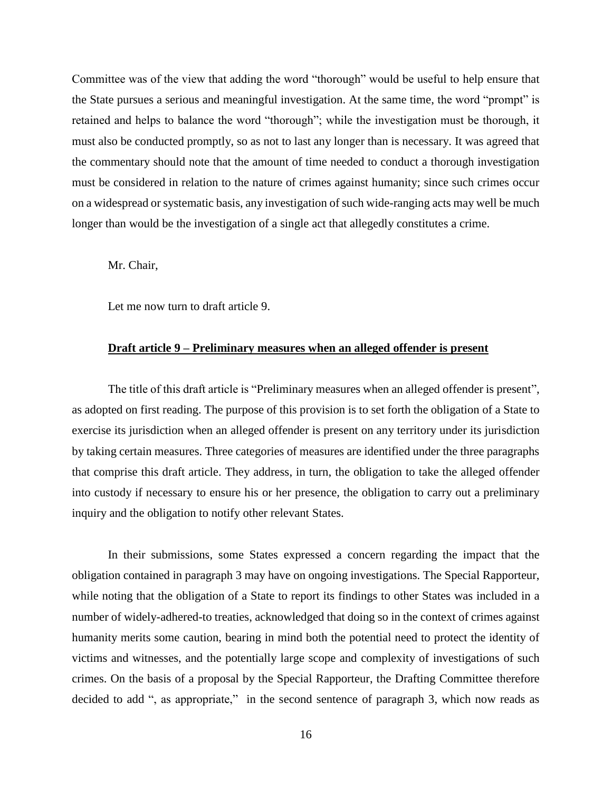Committee was of the view that adding the word "thorough" would be useful to help ensure that the State pursues a serious and meaningful investigation. At the same time, the word "prompt" is retained and helps to balance the word "thorough"; while the investigation must be thorough, it must also be conducted promptly, so as not to last any longer than is necessary. It was agreed that the commentary should note that the amount of time needed to conduct a thorough investigation must be considered in relation to the nature of crimes against humanity; since such crimes occur on a widespread or systematic basis, any investigation of such wide-ranging acts may well be much longer than would be the investigation of a single act that allegedly constitutes a crime.

Mr. Chair,

Let me now turn to draft article 9.

### **Draft article 9 – Preliminary measures when an alleged offender is present**

The title of this draft article is "Preliminary measures when an alleged offender is present", as adopted on first reading. The purpose of this provision is to set forth the obligation of a State to exercise its jurisdiction when an alleged offender is present on any territory under its jurisdiction by taking certain measures. Three categories of measures are identified under the three paragraphs that comprise this draft article. They address, in turn, the obligation to take the alleged offender into custody if necessary to ensure his or her presence, the obligation to carry out a preliminary inquiry and the obligation to notify other relevant States.

In their submissions, some States expressed a concern regarding the impact that the obligation contained in paragraph 3 may have on ongoing investigations. The Special Rapporteur, while noting that the obligation of a State to report its findings to other States was included in a number of widely-adhered-to treaties, acknowledged that doing so in the context of crimes against humanity merits some caution, bearing in mind both the potential need to protect the identity of victims and witnesses, and the potentially large scope and complexity of investigations of such crimes. On the basis of a proposal by the Special Rapporteur, the Drafting Committee therefore decided to add ", as appropriate," in the second sentence of paragraph 3, which now reads as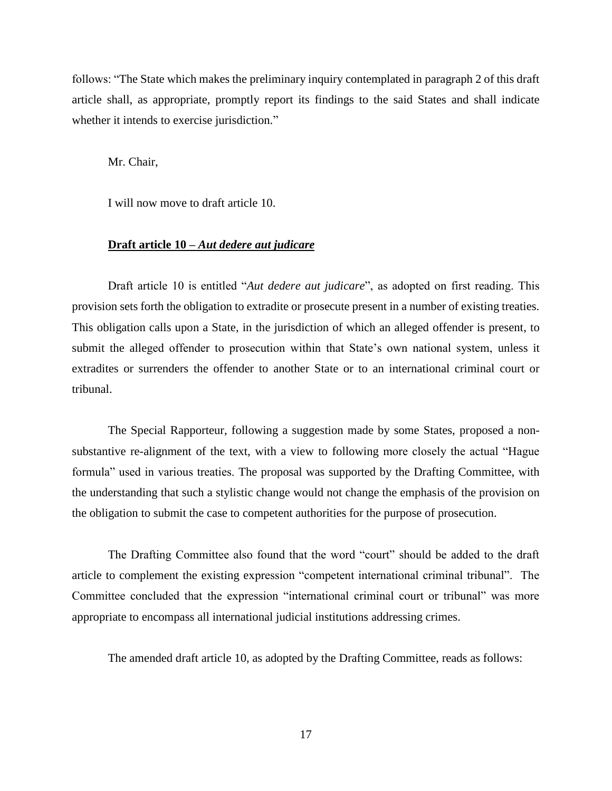follows: "The State which makes the preliminary inquiry contemplated in paragraph 2 of this draft article shall, as appropriate, promptly report its findings to the said States and shall indicate whether it intends to exercise jurisdiction."

Mr. Chair,

I will now move to draft article 10.

### **Draft article 10 –** *Aut dedere aut judicare*

Draft article 10 is entitled "*Aut dedere aut judicare*", as adopted on first reading. This provision sets forth the obligation to extradite or prosecute present in a number of existing treaties. This obligation calls upon a State, in the jurisdiction of which an alleged offender is present, to submit the alleged offender to prosecution within that State's own national system, unless it extradites or surrenders the offender to another State or to an international criminal court or tribunal.

The Special Rapporteur, following a suggestion made by some States, proposed a nonsubstantive re-alignment of the text, with a view to following more closely the actual "Hague formula" used in various treaties. The proposal was supported by the Drafting Committee, with the understanding that such a stylistic change would not change the emphasis of the provision on the obligation to submit the case to competent authorities for the purpose of prosecution.

The Drafting Committee also found that the word "court" should be added to the draft article to complement the existing expression "competent international criminal tribunal". The Committee concluded that the expression "international criminal court or tribunal" was more appropriate to encompass all international judicial institutions addressing crimes.

The amended draft article 10, as adopted by the Drafting Committee, reads as follows: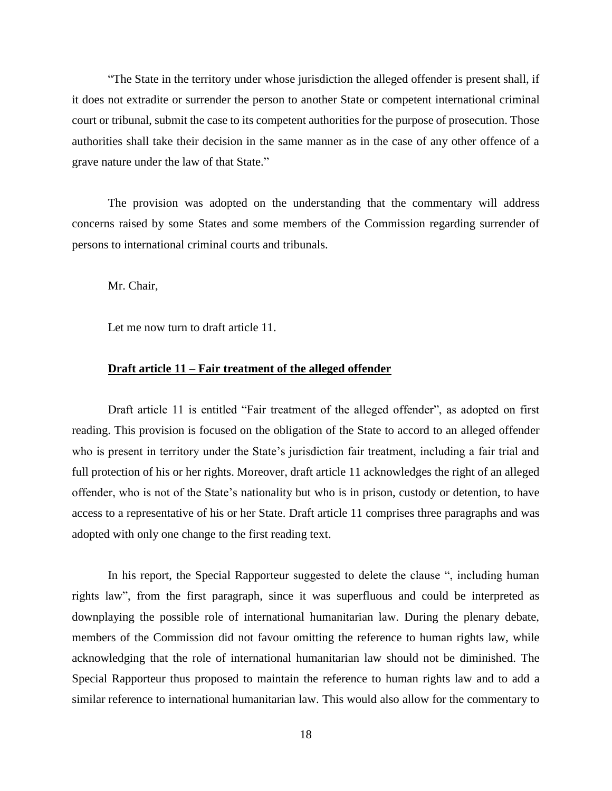"The State in the territory under whose jurisdiction the alleged offender is present shall, if it does not extradite or surrender the person to another State or competent international criminal court or tribunal, submit the case to its competent authorities for the purpose of prosecution. Those authorities shall take their decision in the same manner as in the case of any other offence of a grave nature under the law of that State."

The provision was adopted on the understanding that the commentary will address concerns raised by some States and some members of the Commission regarding surrender of persons to international criminal courts and tribunals.

Mr. Chair,

Let me now turn to draft article 11.

## **Draft article 11 – Fair treatment of the alleged offender**

Draft article 11 is entitled "Fair treatment of the alleged offender", as adopted on first reading. This provision is focused on the obligation of the State to accord to an alleged offender who is present in territory under the State's jurisdiction fair treatment, including a fair trial and full protection of his or her rights. Moreover, draft article 11 acknowledges the right of an alleged offender, who is not of the State's nationality but who is in prison, custody or detention, to have access to a representative of his or her State. Draft article 11 comprises three paragraphs and was adopted with only one change to the first reading text.

In his report, the Special Rapporteur suggested to delete the clause ", including human rights law", from the first paragraph, since it was superfluous and could be interpreted as downplaying the possible role of international humanitarian law. During the plenary debate, members of the Commission did not favour omitting the reference to human rights law, while acknowledging that the role of international humanitarian law should not be diminished. The Special Rapporteur thus proposed to maintain the reference to human rights law and to add a similar reference to international humanitarian law. This would also allow for the commentary to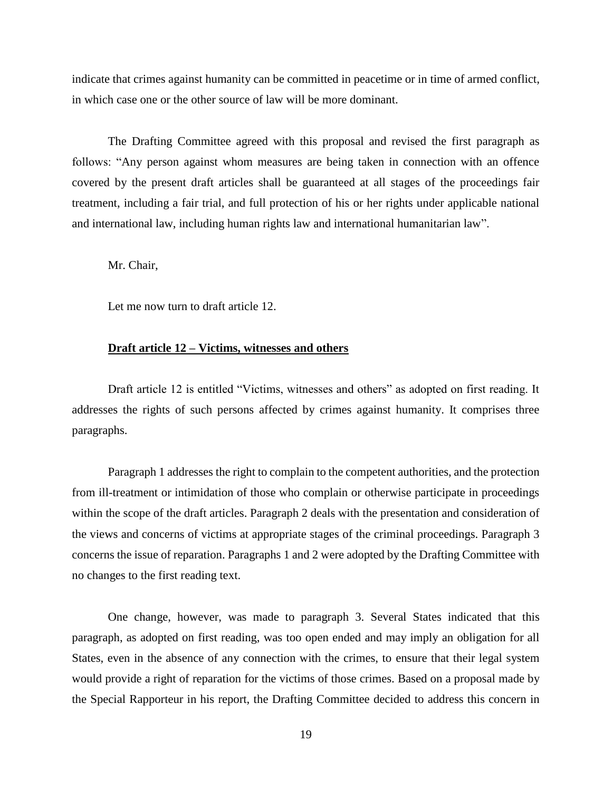indicate that crimes against humanity can be committed in peacetime or in time of armed conflict, in which case one or the other source of law will be more dominant.

The Drafting Committee agreed with this proposal and revised the first paragraph as follows: "Any person against whom measures are being taken in connection with an offence covered by the present draft articles shall be guaranteed at all stages of the proceedings fair treatment, including a fair trial, and full protection of his or her rights under applicable national and international law, including human rights law and international humanitarian law".

Mr. Chair,

Let me now turn to draft article 12.

### **Draft article 12 – Victims, witnesses and others**

Draft article 12 is entitled "Victims, witnesses and others" as adopted on first reading. It addresses the rights of such persons affected by crimes against humanity. It comprises three paragraphs.

Paragraph 1 addresses the right to complain to the competent authorities, and the protection from ill-treatment or intimidation of those who complain or otherwise participate in proceedings within the scope of the draft articles. Paragraph 2 deals with the presentation and consideration of the views and concerns of victims at appropriate stages of the criminal proceedings. Paragraph 3 concerns the issue of reparation. Paragraphs 1 and 2 were adopted by the Drafting Committee with no changes to the first reading text.

One change, however, was made to paragraph 3. Several States indicated that this paragraph, as adopted on first reading, was too open ended and may imply an obligation for all States, even in the absence of any connection with the crimes, to ensure that their legal system would provide a right of reparation for the victims of those crimes. Based on a proposal made by the Special Rapporteur in his report, the Drafting Committee decided to address this concern in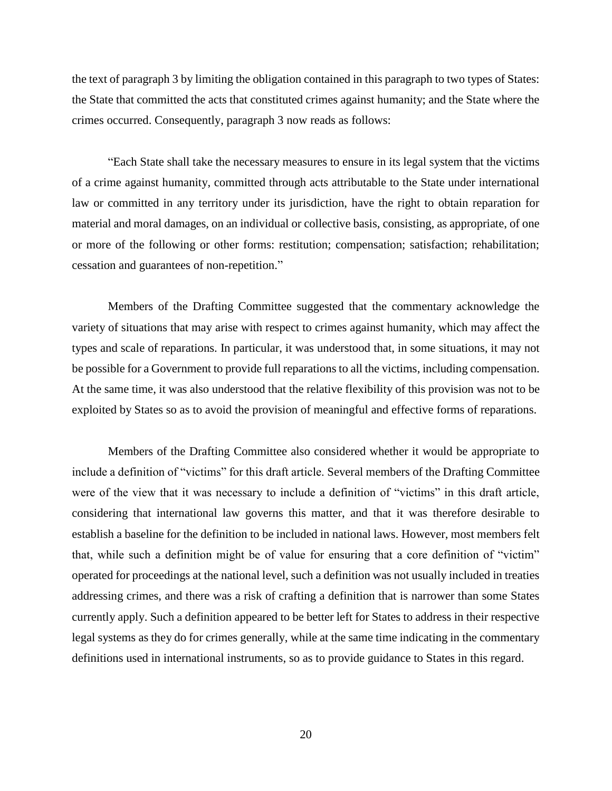the text of paragraph 3 by limiting the obligation contained in this paragraph to two types of States: the State that committed the acts that constituted crimes against humanity; and the State where the crimes occurred. Consequently, paragraph 3 now reads as follows:

"Each State shall take the necessary measures to ensure in its legal system that the victims of a crime against humanity, committed through acts attributable to the State under international law or committed in any territory under its jurisdiction, have the right to obtain reparation for material and moral damages, on an individual or collective basis, consisting, as appropriate, of one or more of the following or other forms: restitution; compensation; satisfaction; rehabilitation; cessation and guarantees of non-repetition."

Members of the Drafting Committee suggested that the commentary acknowledge the variety of situations that may arise with respect to crimes against humanity, which may affect the types and scale of reparations. In particular, it was understood that, in some situations, it may not be possible for a Government to provide full reparations to all the victims, including compensation. At the same time, it was also understood that the relative flexibility of this provision was not to be exploited by States so as to avoid the provision of meaningful and effective forms of reparations.

Members of the Drafting Committee also considered whether it would be appropriate to include a definition of "victims" for this draft article. Several members of the Drafting Committee were of the view that it was necessary to include a definition of "victims" in this draft article, considering that international law governs this matter, and that it was therefore desirable to establish a baseline for the definition to be included in national laws. However, most members felt that, while such a definition might be of value for ensuring that a core definition of "victim" operated for proceedings at the national level, such a definition was not usually included in treaties addressing crimes, and there was a risk of crafting a definition that is narrower than some States currently apply. Such a definition appeared to be better left for States to address in their respective legal systems as they do for crimes generally, while at the same time indicating in the commentary definitions used in international instruments, so as to provide guidance to States in this regard.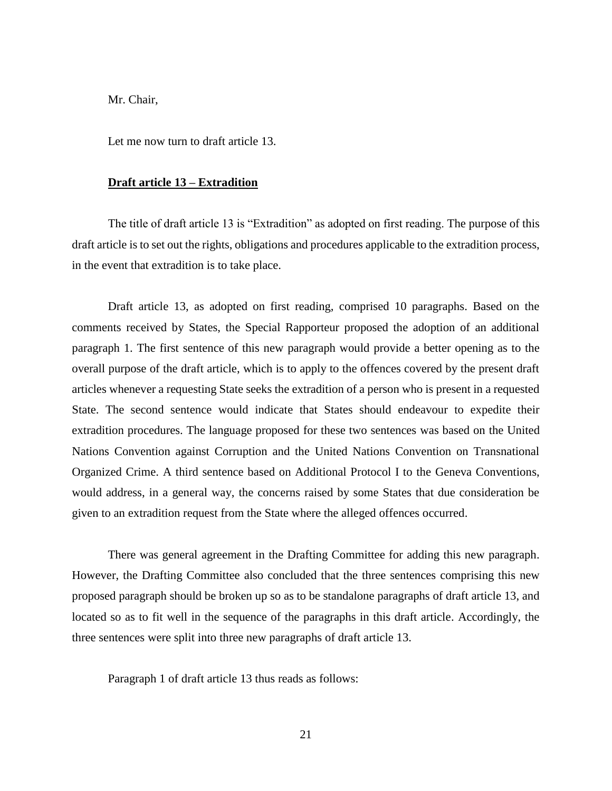Let me now turn to draft article 13.

#### **Draft article 13 – Extradition**

The title of draft article 13 is "Extradition" as adopted on first reading. The purpose of this draft article is to set out the rights, obligations and procedures applicable to the extradition process, in the event that extradition is to take place.

Draft article 13, as adopted on first reading, comprised 10 paragraphs. Based on the comments received by States, the Special Rapporteur proposed the adoption of an additional paragraph 1. The first sentence of this new paragraph would provide a better opening as to the overall purpose of the draft article, which is to apply to the offences covered by the present draft articles whenever a requesting State seeks the extradition of a person who is present in a requested State. The second sentence would indicate that States should endeavour to expedite their extradition procedures. The language proposed for these two sentences was based on the United Nations Convention against Corruption and the United Nations Convention on Transnational Organized Crime. A third sentence based on Additional Protocol I to the Geneva Conventions, would address, in a general way, the concerns raised by some States that due consideration be given to an extradition request from the State where the alleged offences occurred.

There was general agreement in the Drafting Committee for adding this new paragraph. However, the Drafting Committee also concluded that the three sentences comprising this new proposed paragraph should be broken up so as to be standalone paragraphs of draft article 13, and located so as to fit well in the sequence of the paragraphs in this draft article. Accordingly, the three sentences were split into three new paragraphs of draft article 13.

Paragraph 1 of draft article 13 thus reads as follows: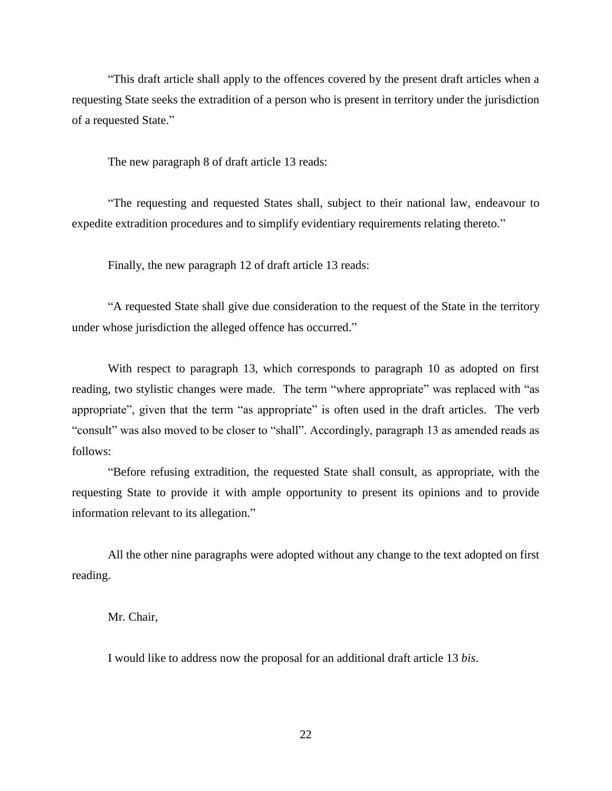"This draft article shall apply to the offences covered by the present draft articles when a requesting State seeks the extradition of a person who is present in territory under the jurisdiction of a requested State."

The new paragraph 8 of draft article 13 reads:

"The requesting and requested States shall, subject to their national law, endeavour to expedite extradition procedures and to simplify evidentiary requirements relating thereto."

Finally, the new paragraph 12 of draft article 13 reads:

"A requested State shall give due consideration to the request of the State in the territory under whose jurisdiction the alleged offence has occurred."

With respect to paragraph 13, which corresponds to paragraph 10 as adopted on first reading, two stylistic changes were made. The term "where appropriate" was replaced with "as appropriate", given that the term "as appropriate" is often used in the draft articles. The verb "consult" was also moved to be closer to "shall". Accordingly, paragraph 13 as amended reads as follows:

"Before refusing extradition, the requested State shall consult, as appropriate, with the requesting State to provide it with ample opportunity to present its opinions and to provide information relevant to its allegation."

All the other nine paragraphs were adopted without any change to the text adopted on first reading.

Mr. Chair,

I would like to address now the proposal for an additional draft article 13 *bis*.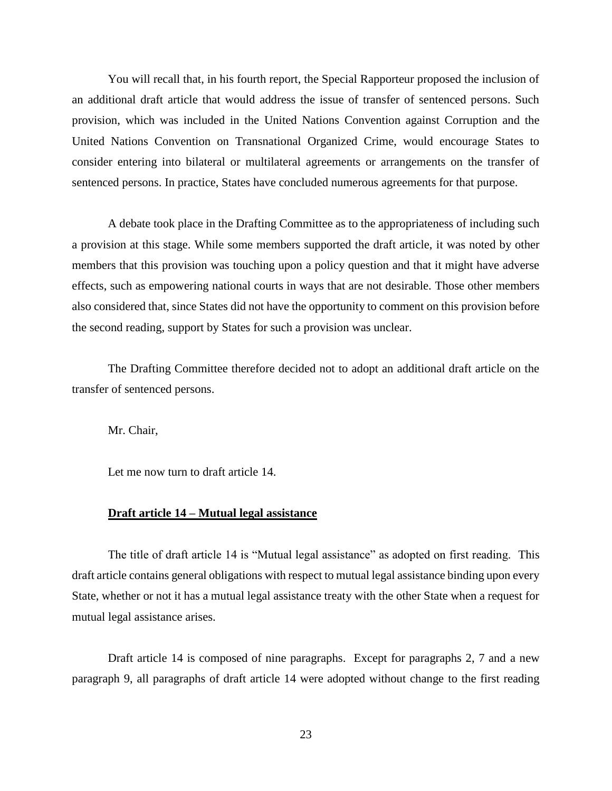You will recall that, in his fourth report, the Special Rapporteur proposed the inclusion of an additional draft article that would address the issue of transfer of sentenced persons. Such provision, which was included in the United Nations Convention against Corruption and the United Nations Convention on Transnational Organized Crime, would encourage States to consider entering into bilateral or multilateral agreements or arrangements on the transfer of sentenced persons. In practice, States have concluded numerous agreements for that purpose.

A debate took place in the Drafting Committee as to the appropriateness of including such a provision at this stage. While some members supported the draft article, it was noted by other members that this provision was touching upon a policy question and that it might have adverse effects, such as empowering national courts in ways that are not desirable. Those other members also considered that, since States did not have the opportunity to comment on this provision before the second reading, support by States for such a provision was unclear.

The Drafting Committee therefore decided not to adopt an additional draft article on the transfer of sentenced persons.

Mr. Chair,

Let me now turn to draft article 14.

## **Draft article 14 – Mutual legal assistance**

The title of draft article 14 is "Mutual legal assistance" as adopted on first reading. This draft article contains general obligations with respect to mutual legal assistance binding upon every State, whether or not it has a mutual legal assistance treaty with the other State when a request for mutual legal assistance arises.

Draft article 14 is composed of nine paragraphs. Except for paragraphs 2, 7 and a new paragraph 9, all paragraphs of draft article 14 were adopted without change to the first reading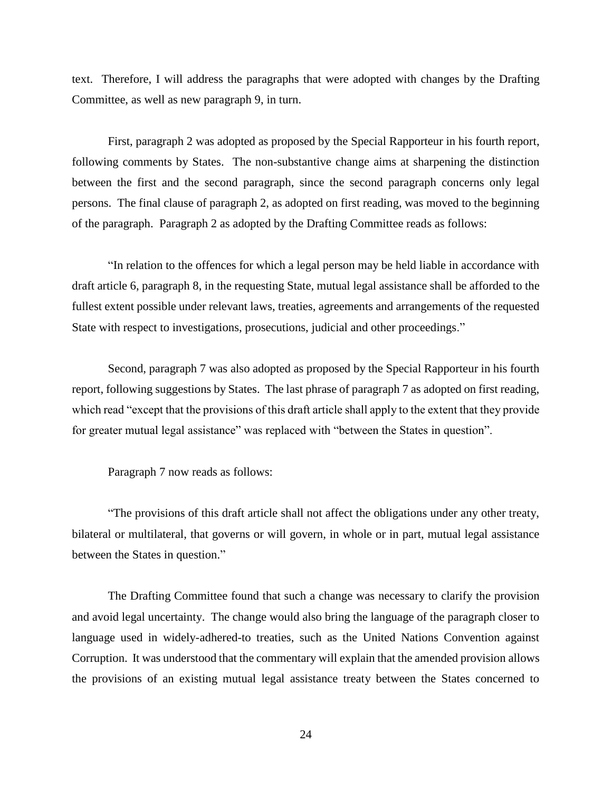text. Therefore, I will address the paragraphs that were adopted with changes by the Drafting Committee, as well as new paragraph 9, in turn.

First, paragraph 2 was adopted as proposed by the Special Rapporteur in his fourth report, following comments by States. The non-substantive change aims at sharpening the distinction between the first and the second paragraph, since the second paragraph concerns only legal persons. The final clause of paragraph 2, as adopted on first reading, was moved to the beginning of the paragraph. Paragraph 2 as adopted by the Drafting Committee reads as follows:

"In relation to the offences for which a legal person may be held liable in accordance with draft article 6, paragraph 8, in the requesting State, mutual legal assistance shall be afforded to the fullest extent possible under relevant laws, treaties, agreements and arrangements of the requested State with respect to investigations, prosecutions, judicial and other proceedings."

Second, paragraph 7 was also adopted as proposed by the Special Rapporteur in his fourth report, following suggestions by States. The last phrase of paragraph 7 as adopted on first reading, which read "except that the provisions of this draft article shall apply to the extent that they provide for greater mutual legal assistance" was replaced with "between the States in question".

Paragraph 7 now reads as follows:

"The provisions of this draft article shall not affect the obligations under any other treaty, bilateral or multilateral, that governs or will govern, in whole or in part, mutual legal assistance between the States in question."

The Drafting Committee found that such a change was necessary to clarify the provision and avoid legal uncertainty. The change would also bring the language of the paragraph closer to language used in widely-adhered-to treaties, such as the United Nations Convention against Corruption. It was understood that the commentary will explain that the amended provision allows the provisions of an existing mutual legal assistance treaty between the States concerned to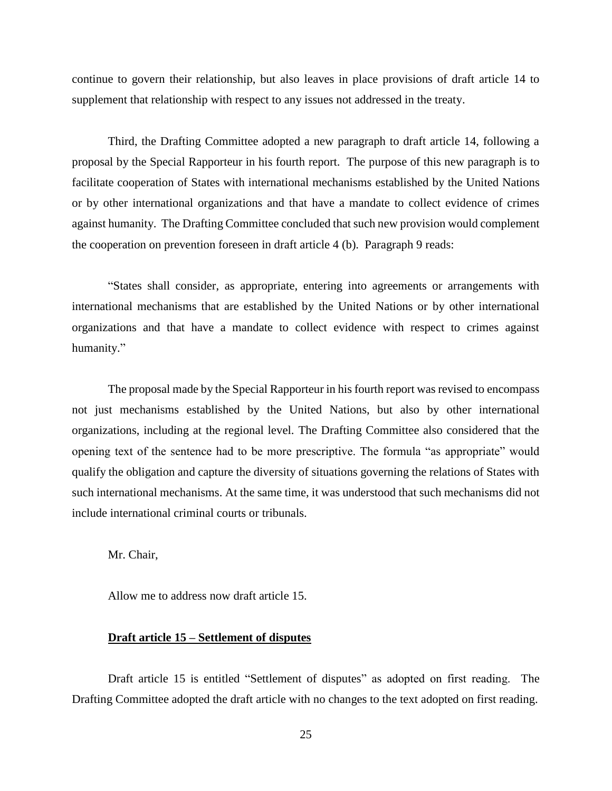continue to govern their relationship, but also leaves in place provisions of draft article 14 to supplement that relationship with respect to any issues not addressed in the treaty.

Third, the Drafting Committee adopted a new paragraph to draft article 14, following a proposal by the Special Rapporteur in his fourth report. The purpose of this new paragraph is to facilitate cooperation of States with international mechanisms established by the United Nations or by other international organizations and that have a mandate to collect evidence of crimes against humanity. The Drafting Committee concluded that such new provision would complement the cooperation on prevention foreseen in draft article 4 (b). Paragraph 9 reads:

"States shall consider, as appropriate, entering into agreements or arrangements with international mechanisms that are established by the United Nations or by other international organizations and that have a mandate to collect evidence with respect to crimes against humanity."

The proposal made by the Special Rapporteur in his fourth report was revised to encompass not just mechanisms established by the United Nations, but also by other international organizations, including at the regional level. The Drafting Committee also considered that the opening text of the sentence had to be more prescriptive. The formula "as appropriate" would qualify the obligation and capture the diversity of situations governing the relations of States with such international mechanisms. At the same time, it was understood that such mechanisms did not include international criminal courts or tribunals.

Mr. Chair,

Allow me to address now draft article 15.

## **Draft article 15 – Settlement of disputes**

Draft article 15 is entitled "Settlement of disputes" as adopted on first reading. The Drafting Committee adopted the draft article with no changes to the text adopted on first reading.